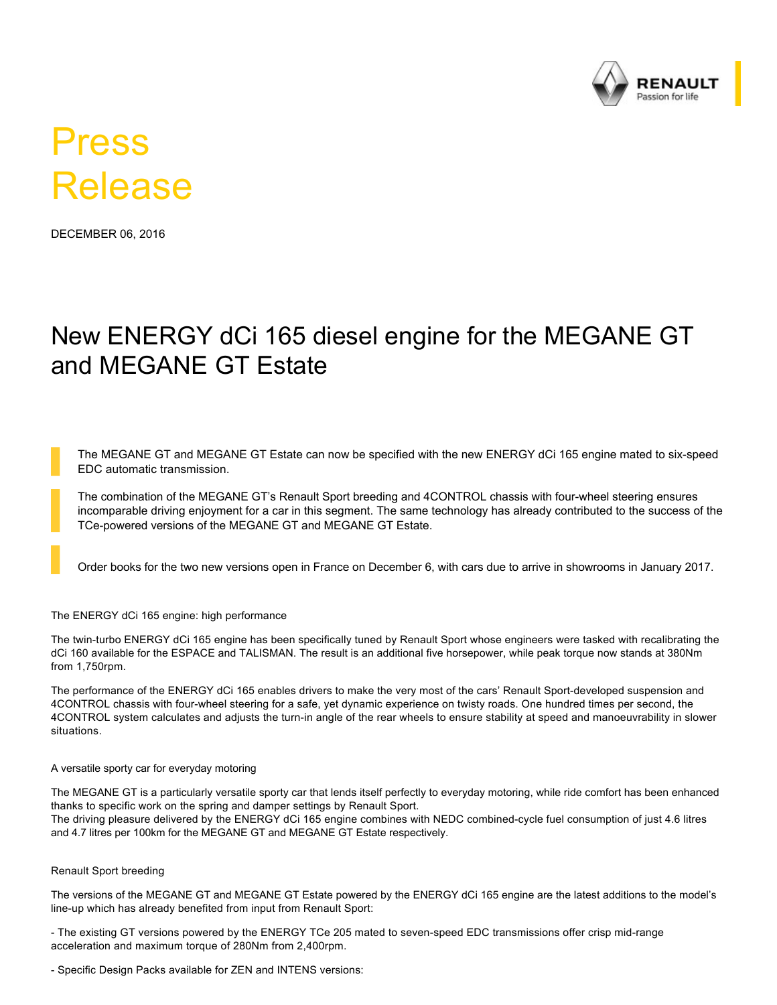

# Press Release

DECEMBER 06, 2016

# New ENERGY dCi 165 diesel engine for the MEGANE GT and MEGANE GT Estate

The MEGANE GT and MEGANE GT Estate can now be specified with the new ENERGY dCi 165 engine mated to six-speed EDC automatic transmission.

The combination of the MEGANE GT's Renault Sport breeding and 4CONTROL chassis with four-wheel steering ensures incomparable driving enjoyment for a car in this segment. The same technology has already contributed to the success of the TCe-powered versions of the MEGANE GT and MEGANE GT Estate.

Order books for the two new versions open in France on December 6, with cars due to arrive in showrooms in January 2017.

#### The ENERGY dCi 165 engine: high performance

The twin-turbo ENERGY dCi 165 engine has been specifically tuned by Renault Sport whose engineers were tasked with recalibrating the dCi 160 available for the ESPACE and TALISMAN. The result is an additional five horsepower, while peak torque now stands at 380Nm from 1,750rpm.

The performance of the ENERGY dCi 165 enables drivers to make the very most of the cars' Renault Sport-developed suspension and 4CONTROL chassis with four-wheel steering for a safe, yet dynamic experience on twisty roads. One hundred times per second, the 4CONTROL system calculates and adjusts the turn-in angle of the rear wheels to ensure stability at speed and manoeuvrability in slower situations.

#### A versatile sporty car for everyday motoring

The MEGANE GT is a particularly versatile sporty car that lends itself perfectly to everyday motoring, while ride comfort has been enhanced thanks to specific work on the spring and damper settings by Renault Sport. The driving pleasure delivered by the ENERGY dCi 165 engine combines with NEDC combined-cycle fuel consumption of just 4.6 litres and 4.7 litres per 100km for the MEGANE GT and MEGANE GT Estate respectively.

#### Renault Sport breeding

The versions of the MEGANE GT and MEGANE GT Estate powered by the ENERGY dCi 165 engine are the latest additions to the model's line-up which has already benefited from input from Renault Sport:

- The existing GT versions powered by the ENERGY TCe 205 mated to seven-speed EDC transmissions offer crisp mid-range acceleration and maximum torque of 280Nm from 2,400rpm.

- Specific Design Packs available for ZEN and INTENS versions: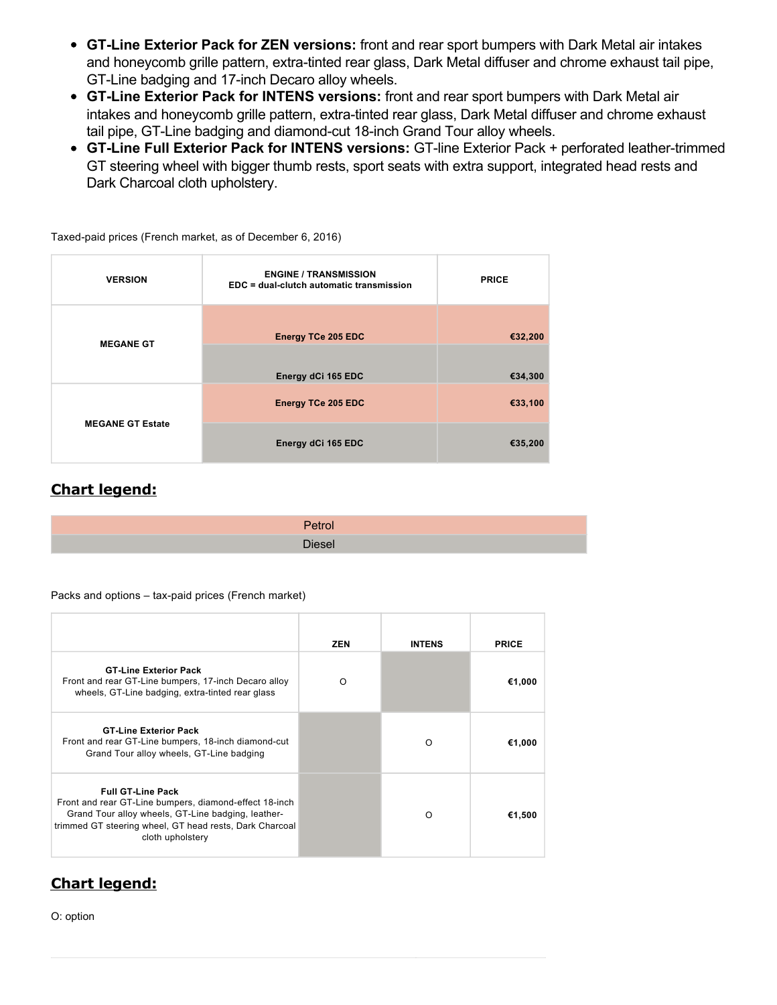- **GTLine Exterior Pack for ZEN versions:** front and rear sport bumpers with Dark Metal air intakes and honeycomb grille pattern, extra-tinted rear glass, Dark Metal diffuser and chrome exhaust tail pipe, GT-Line badging and 17-inch Decaro alloy wheels.
- **GTLine Exterior Pack for INTENS versions:** front and rear sport bumpers with Dark Metal air intakes and honeycomb grille pattern, extra-tinted rear glass, Dark Metal diffuser and chrome exhaust tail pipe, GT-Line badging and diamond-cut 18-inch Grand Tour alloy wheels.
- GT-Line Full Exterior Pack for INTENS versions: GT-line Exterior Pack + perforated leather-trimmed GT steering wheel with bigger thumb rests, sport seats with extra support, integrated head rests and Dark Charcoal cloth upholstery.

| <b>VERSION</b>          | <b>ENGINE / TRANSMISSION</b><br>EDC = dual-clutch automatic transmission | <b>PRICE</b> |
|-------------------------|--------------------------------------------------------------------------|--------------|
| <b>MEGANE GT</b>        | <b>Energy TCe 205 EDC</b>                                                | €32,200      |
|                         | Energy dCi 165 EDC                                                       | €34,300      |
| <b>MEGANE GT Estate</b> | <b>Energy TCe 205 EDC</b>                                                | €33,100      |
|                         | Energy dCi 165 EDC                                                       | €35,200      |

Taxed-paid prices (French market, as of December 6, 2016)

### **Chart legend:**

| $7 - 4 - -$<br>≂u∪⊾ |
|---------------------|
| Diesel i            |

Packs and options – tax-paid prices (French market)

|                                                                                                                                                                                                                         | <b>ZEN</b> | <b>INTENS</b> | <b>PRICE</b> |
|-------------------------------------------------------------------------------------------------------------------------------------------------------------------------------------------------------------------------|------------|---------------|--------------|
| <b>GT-Line Exterior Pack</b><br>Front and rear GT-Line bumpers, 17-inch Decaro alloy<br>wheels, GT-Line badging, extra-tinted rear glass                                                                                | ∩          |               | €1,000       |
| <b>GT-Line Exterior Pack</b><br>Front and rear GT-Line bumpers, 18-inch diamond-cut<br>Grand Tour alloy wheels, GT-Line badging                                                                                         |            | ∩             | €1,000       |
| <b>Full GT-Line Pack</b><br>Front and rear GT-Line bumpers, diamond-effect 18-inch<br>Grand Tour alloy wheels, GT-Line badging, leather-<br>trimmed GT steering wheel, GT head rests, Dark Charcoal<br>cloth upholstery |            | ∩             | €1,500       |

## **Chart legend:**

O: option